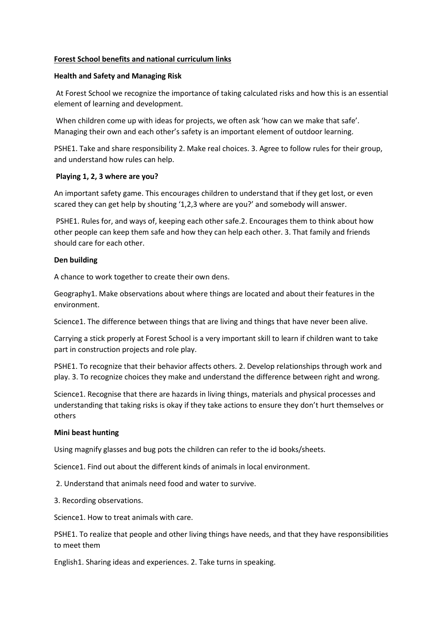## **Forest School benefits and national curriculum links**

#### **Health and Safety and Managing Risk**

At Forest School we recognize the importance of taking calculated risks and how this is an essential element of learning and development.

When children come up with ideas for projects, we often ask 'how can we make that safe'. Managing their own and each other's safety is an important element of outdoor learning.

PSHE1. Take and share responsibility 2. Make real choices. 3. Agree to follow rules for their group, and understand how rules can help.

## **Playing 1, 2, 3 where are you?**

An important safety game. This encourages children to understand that if they get lost, or even scared they can get help by shouting '1,2,3 where are you?' and somebody will answer.

PSHE1. Rules for, and ways of, keeping each other safe.2. Encourages them to think about how other people can keep them safe and how they can help each other. 3. That family and friends should care for each other.

## **Den building**

A chance to work together to create their own dens.

Geography1. Make observations about where things are located and about their features in the environment.

Science1. The difference between things that are living and things that have never been alive.

Carrying a stick properly at Forest School is a very important skill to learn if children want to take part in construction projects and role play.

PSHE1. To recognize that their behavior affects others. 2. Develop relationships through work and play. 3. To recognize choices they make and understand the difference between right and wrong.

Science1. Recognise that there are hazards in living things, materials and physical processes and understanding that taking risks is okay if they take actions to ensure they don't hurt themselves or others

#### **Mini beast hunting**

Using magnify glasses and bug pots the children can refer to the id books/sheets.

Science1. Find out about the different kinds of animals in local environment.

2. Understand that animals need food and water to survive.

3. Recording observations.

Science1. How to treat animals with care.

PSHE1. To realize that people and other living things have needs, and that they have responsibilities to meet them

English1. Sharing ideas and experiences. 2. Take turns in speaking.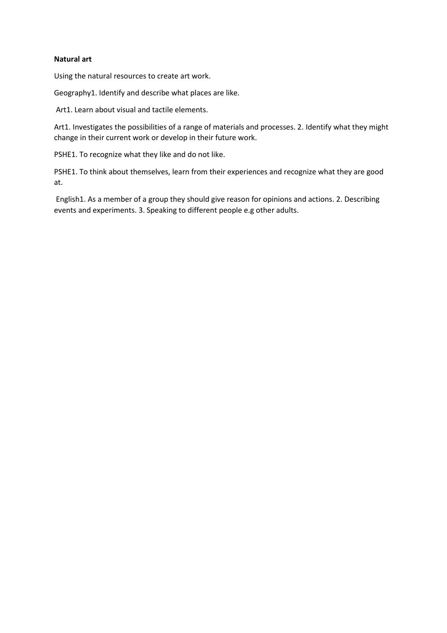### **Natural art**

Using the natural resources to create art work.

Geography1. Identify and describe what places are like.

Art1. Learn about visual and tactile elements.

Art1. Investigates the possibilities of a range of materials and processes. 2. Identify what they might change in their current work or develop in their future work.

PSHE1. To recognize what they like and do not like.

PSHE1. To think about themselves, learn from their experiences and recognize what they are good at.

English1. As a member of a group they should give reason for opinions and actions. 2. Describing events and experiments. 3. Speaking to different people e.g other adults.